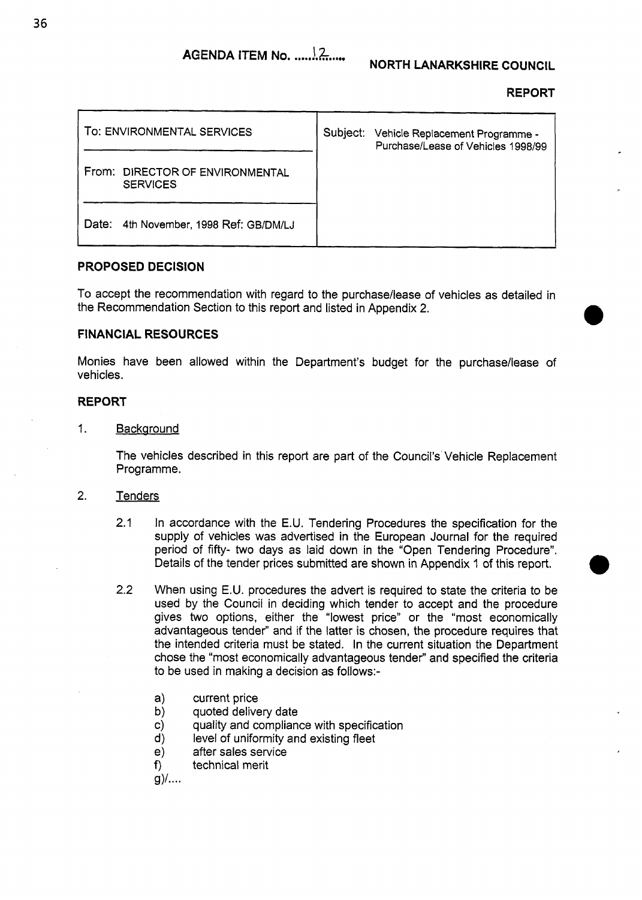#### **REPORT**

| TO: ENVIRONMENTAL SERVICES                         | Subject: | Vehicle Replacement Programme -<br>Purchase/Lease of Vehicles 1998/99 |
|----------------------------------------------------|----------|-----------------------------------------------------------------------|
| From: DIRECTOR OF ENVIRONMENTAL<br><b>SERVICES</b> |          |                                                                       |
| 4th November, 1998 Ref: GB/DM/LJ<br>Date:          |          |                                                                       |

#### **PROPOSED DECISION**

To accept the recommendation with regard to the purchase/lease of vehicles as detailed in the Recommendation Section to this report and listed in Appendix 2.

## **FINANCIAL RESOURCES**

Monies have been allowed within the Department's budget for the purchase/lease of vehicles.

## **REPORT**

1. Backaround

The vehicles described in this report are part of the Council's Vehicle Replacement Programme.

#### 2. Tenders

- 2.1 In accordance with the E.U. Tendering Procedures the specification for the supply of vehicles was advertised in the European Journal for the required period of fifty- two days as laid down in the "Open Tendering Procedure". Details of the tender prices submitted are shown in Appendix I of this report.
- 2.2 When using E.U. procedures the advert is required to state the criteria to be used by the Council in deciding which tender to accept and the procedure gives two options, either the "lowest price" or the "most economically advantageous tender" and if the latter is chosen, the procedure requires that the intended criteria must be stated. In the current situation the Department chose the "most economically advantageous tender" and specified the criteria to be used in making a decision as follows:
	- a) current price
	- b) quoted delivery date
	- c) quality and compliance with specification
	- d) level of uniformity and existing fleet
	- after sales service
	- **9** technical merit

 $g$ )/....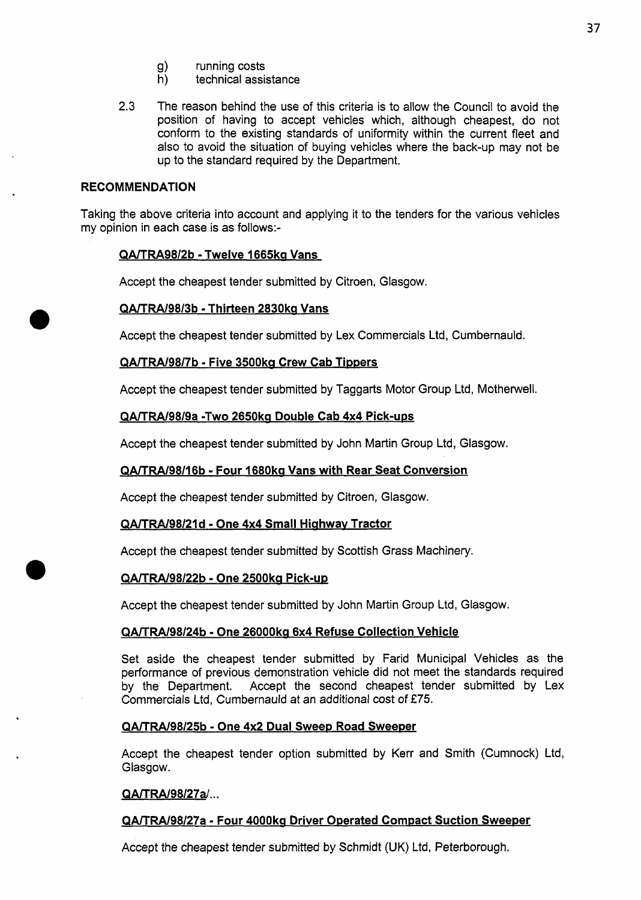- g) running costs<br>h) technical assis
- technical assistance
- **2.3** The reason behind the use of this criteria is to allow the Council to avoid the position of having to accept vehicles which, although cheapest, do not conform to the existing standards of uniformity within the current fleet and also to avoid the situation of buying vehicles where the back-up may not be up to the standard required by the Department.

## **RECOMMENDATION**

Taking the above criteria into account and applying it to the tenders for the various vehicles my opinion in each case is as follows:-

## **QA/TRA98/2b** - **Twelve 1665kQ Vans**

Accept the cheapest tender submitted by Citroen, Glasgow.

## **QA/TRA/98/3b** - **Thirteen 2830ks Vans**

Accept the cheapest tender submitted by Lex Commercials Ltd, Cumbernauld.

## **QA/TRA./98/7b** - **Five 3500ka Crew Cab Timers**

Accept the cheapest tender submitted by Taggarts Motor Group Ltd, Motherwell.

## **QA/TRA/98/9a -Two 2650ka Double Cab 4x4 Pick-ups**

Accept the cheapest tender submitted by John Martin Group Ltd, Glasgow.

## **QA/TRA/98/16b** - **Four 1680ka Vans with Rear Seat Conversion**

Accept the cheapest tender submitted by Citroen, Glasgow.

#### **QAITRA/98/2Id** - **One 4x4 Small Hiahwav Tractor**

Accept the cheapest tender submitted by Scottish Grass Machinery.

#### **QA/TRA/98/22b** - **One 2500ka Pick-up**

Accept the cheapest tender submitted by John Martin Group Ltd, Glasgow.

## **QA/TRA/98/24b** - **One 26000ka 6x4 Refuse Collection Vehicle**

Set aside the cheapest tender submitted by Farid Municipal Vehicles as the performance of previous demonstration vehicle did not meet the standards required by the Department. Accept the second cheapest tender submitted by Lex Commercials Ltd, Cumbernauld at an additional cost of **€75.** 

#### **QA/TW98/25b** - **One 4x2 Dual Sweep Road Sweeper**

Accept the cheapest tender option submitted by Kerr and Smith (Cumnock) Ltd, Glasgow.

#### **QA/TRA/98/27al..** .

## **QA/TRA198/27a** - **Four 4000ka Driver Operated Compact Suction Sweeper**

Accept the cheapest tender submitted by Schmidt (UK) Ltd, Peterborough.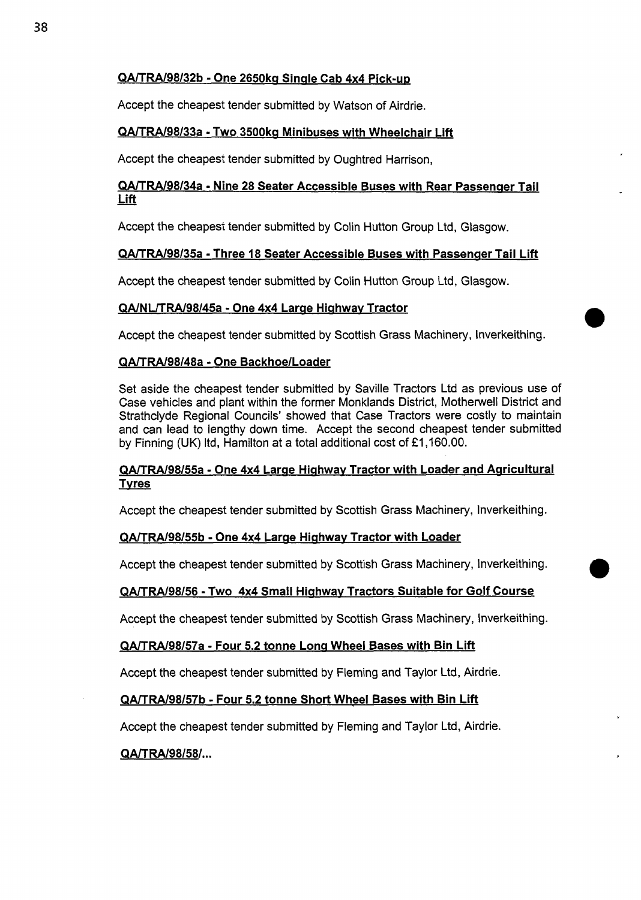## QA/TRA/98/32b - One 2650kg Single Cab 4x4 Pick-up

Accept the cheapest tender submitted by Watson of Airdrie.

## QA/TRA/98/33a - Two 3500ka Minibuses with Wheelchair Lift

# Accept the cheapest tender submitted by Oughtred Harrison,<br><u>QA/TRA/98/34a - Nine 28 Seater Accessible Buses with Re</u><br><u>Lift</u> QA/TRA/98/34a - Nine 28 Seater Accessible Buses with Rear Passenaer Tail

Accept the cheapest tender submitted by Colin Hutton Group Ltd, Glasgow.

## QA/TRA/98/35a - Three 18 Seater Accessible Buses with Passenaer Tail Lift

Accept the cheapest tender submitted by Colin Hutton Group Ltd, Glasgow.

## QA/NL/TRA/98/45a - One 4x4 Larae Hiahwav Tractor

Accept the cheapest tender submitted by Scottish Grass Machinery, Inverkeithing.

## QA/TRA/98/48a - One Backhoe/Loader

Set aside the cheapest tender submitted by Saville Tractors Ltd as previous use *of*  Case vehicles and plant within the former Monklands District, Motherwell District and Strathclyde Regional Councils' showed that Case Tractors were costly to maintain and can lead to lengthy down time. Accept the second cheapest tender submitted by Finning (UK) Itd, Hamilton at a total additional cost of  $£1,160.00$ .

## QA/TRA/98/55a - One 4x4 Large Highway Tractor with Loader and Agricultural Tvres

Accept the cheapest tender submitted by Scottish Grass Machinery, Inverkeithing.

## QA/TRA/98/55b - One 4x4 Lame Hiahwav Tractor with Loader

Accept the cheapest tender submitted by Scottish Grass Machinery, Inverkeithing.

## QA/TRA/98/56 - Two 4x4 Small Hiahwav Tractors Suitable for Golf Course

Accept the cheapest tender submitted by Scottish Grass Machinery, tnverkeithing.

## QA/TRA/98/57a - Four 5.2 tonne Lona Wheel Bases with Bin Lift

Accept the cheapest tender submitted by Fleming and Taylor Ltd, Airdrie.

## QA/TRA/98/57b - Four 5.2 tonne Short Wheel Bases with Bin Lift

Accept the cheapest tender submitted by Fleming and Taylor Ltd, Airdrie.

## QA/TRA/98/58/...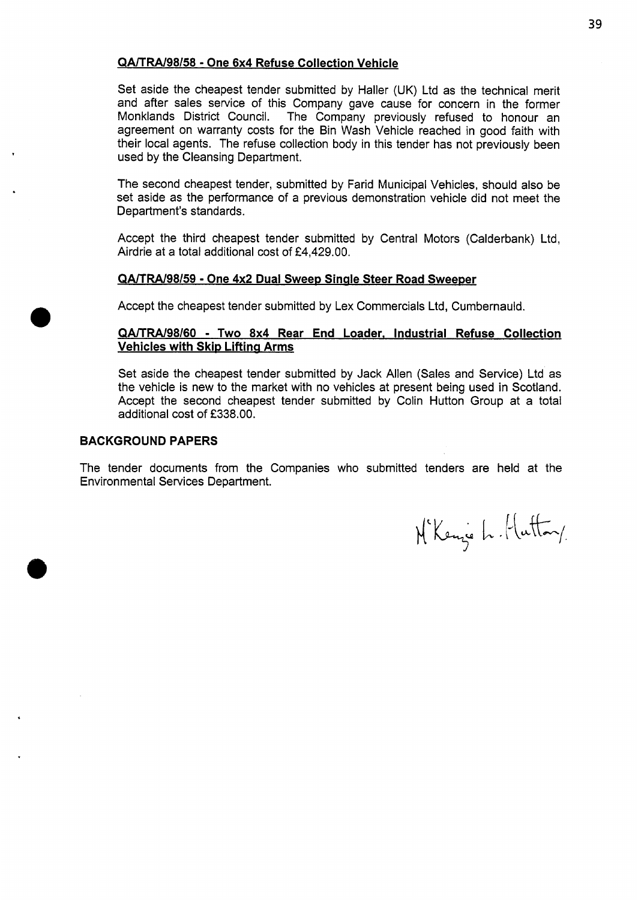## **QA/TRA/98/58** - **One 6x4 Refuse Collection Vehicle**

Set aside the cheapest tender submitted by Hailer (UK) Ltd as the technical merit and after sales service of this Company gave cause for concern in the former<br>Monklands District Council. The Company previously refused to honour an The Company previously refused to honour an agreement on warranty costs for the Bin Wash Vehicle reached in good faith with their local agents. The refuse collection body in this tender has not previously been used by the Cleansing Department.

The second cheapest tender, submitted by Farid Municipal Vehicles, should also be set aside as the performance of a previous demonstration vehicle did not meet the Department's standards.

Accept the third cheapest tender submitted by Central Motors (Calderbank) Ltd, Airdrie at a total additional cost of €4,429.00.

## **QA/TRA/98/59** - **One 4x2 Dual SweeD Sinale Steer Road Sweeper**

Accept the cheapest tender submitted by Lex Commercials Ltd, Cumbernauld.

## **QA/TRA/98/60** - **Two 8x4 Rear End Loader, Industrial Refuse Collection Vehicles with Skip Lifting Arms**

Set aside the cheapest tender submitted by Jack Allen (Sales and Service) Ltd as the vehicle is new to the market with no vehicles at present being used in Scotland. Accept the second cheapest tender submitted by Colin Hutton Group at a total additional cost of **f338.00.** 

#### **BACKGROUND PAPERS**

The tender documents from the Companies who submitted tenders are held at the Environmental Services Department.

N'Kenze L. Hutton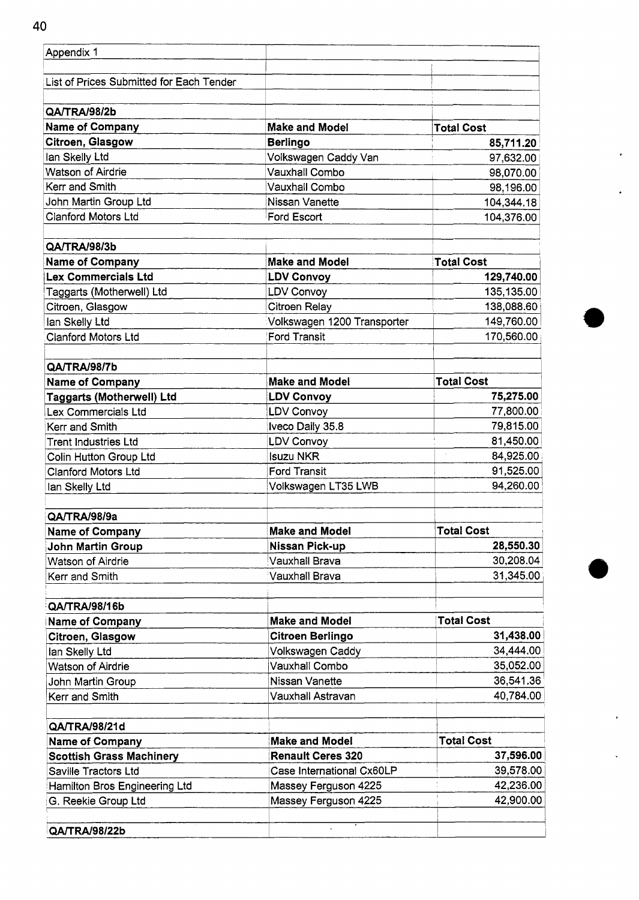| Appendix 1                               |                             |                   |
|------------------------------------------|-----------------------------|-------------------|
| List of Prices Submitted for Each Tender |                             |                   |
| QA/TRA/98/2b                             |                             |                   |
| <b>Name of Company</b>                   | <b>Make and Model</b>       | <b>Total Cost</b> |
| Citroen, Glasgow                         | <b>Berlingo</b>             | 85,711.20         |
| lan Skelly Ltd                           | Volkswagen Caddy Van        | 97,632.00         |
| Watson of Airdrie                        | <b>Vauxhall Combo</b>       | 98,070.00         |
| Kerr and Smith                           | Vauxhall Combo              | 98,196.00         |
| John Martin Group Ltd                    | Nissan Vanette              | 104,344.18        |
| <b>Clanford Motors Ltd</b>               | Ford Escort                 | 104,376.00        |
| QA/TRA/98/3b                             |                             |                   |
| <b>Name of Company</b>                   | <b>Make and Model</b>       | <b>Total Cost</b> |
| <b>Lex Commercials Ltd</b>               | <b>LDV Convoy</b>           | 129,740.00        |
| Taggarts (Motherwell) Ltd                | <b>LDV Convoy</b>           | 135,135.00        |
| Citroen, Glasgow                         | <b>Citroen Relay</b>        | 138,088.60        |
| lan Skelly Ltd                           | Volkswagen 1200 Transporter | 149,760.00        |
| <b>Clanford Motors Ltd</b>               | <b>Ford Transit</b>         | 170,560.00        |
| QA/TRA/98/7b                             |                             |                   |
| <b>Name of Company</b>                   | <b>Make and Model</b>       | <b>Total Cost</b> |
| <b>Taggarts (Motherwell) Ltd</b>         | <b>LDV Convoy</b>           | 75,275.00         |
| Lex Commercials Ltd                      | <b>LDV Convoy</b>           | 77,800.00         |
| Kerr and Smith                           | Iveco Daily 35.8            | 79,815.00         |
| Trent Industries Ltd                     | <b>LDV Convoy</b>           | 81,450.00         |
| Colin Hutton Group Ltd                   | <b>Isuzu NKR</b>            | ÷.<br>84,925.00   |
| <b>Clanford Motors Ltd</b>               | <b>Ford Transit</b>         | 91,525.00         |
| lan Skelly Ltd                           | Volkswagen LT35 LWB         | 94,260.00         |
| QA/TRA/98/9a                             |                             |                   |
| <b>Name of Company</b>                   | <b>Make and Model</b>       | <b>Total Cost</b> |
| <b>John Martin Group</b>                 | Nissan Pick-up              | 28,550.30         |
| Watson of Airdrie                        | Vauxhall Brava              | 30,208.04         |
| Kerr and Smith                           | Vauxhall Brava              | 31,345.00         |
| QA/TRA/98/16b                            |                             |                   |
| <b>Name of Company</b>                   | <b>Make and Model</b>       | <b>Total Cost</b> |
| Citroen, Glasgow                         | <b>Citroen Berlingo</b>     | 31,438.00         |
| lan Skelly Ltd                           | Volkswagen Caddy            | 34,444.00         |
| <b>Watson of Airdrie</b>                 | Vauxhall Combo              | 35,052.00         |
| John Martin Group                        | Nissan Vanette              | 36,541.36         |
| Kerr and Smith                           | Vauxhall Astravan           | 40,784.00         |
| QA/TRA/98/21d                            |                             |                   |
| <b>Name of Company</b>                   | <b>Make and Model</b>       | <b>Total Cost</b> |
| <b>Scottish Grass Machinery</b>          | <b>Renault Ceres 320</b>    | 37,596.00         |
| Saville Tractors Ltd                     | Case International Cx60LP   | 39,578.00         |
| Hamilton Bros Engineering Ltd            | Massey Ferguson 4225        | 42,236.00         |
| G. Reekie Group Ltd                      | Massey Ferguson 4225        | 42,900.00         |
| QA/TRA/98/22b                            |                             |                   |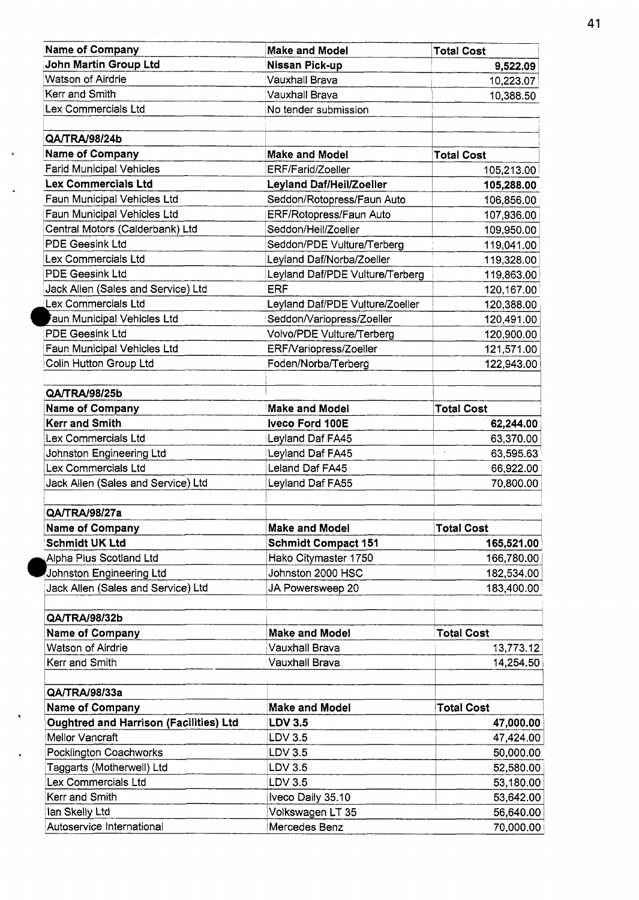| <b>Name of Company</b>                        | <b>Make and Model</b>           | <b>Total Cost</b>    |
|-----------------------------------------------|---------------------------------|----------------------|
| John Martin Group Ltd                         | Nissan Pick-up                  | 9,522.09             |
| Watson of Airdrie                             | Vauxhall Brava                  | 10,223.07            |
| Kerr and Smith                                | <b>Vauxhall Brava</b>           | 10,388.50            |
| Lex Commercials Ltd                           | No tender submission            |                      |
|                                               |                                 |                      |
| QA/TRA/98/24b                                 |                                 |                      |
| <b>Name of Company</b>                        | <b>Make and Model</b>           | <b>Total Cost</b>    |
| <b>Farid Municipal Vehicles</b>               | ERF/Farid/Zoeller               | 105,213.00           |
| <b>Lex Commercials Ltd</b>                    | Leyland Daf/Heil/Zoeller        | 105,288.00           |
| Faun Municipal Vehicles Ltd                   | Seddon/Rotopress/Faun Auto      | 106,856.00           |
| Faun Municipal Vehicles Ltd                   | ERF/Rotopress/Faun Auto         | 107,936.00           |
| Central Motors (Calderbank) Ltd               | Seddon/Heil/Zoeller             | 109,950.00           |
| <b>PDE Geesink Ltd</b>                        | Seddon/PDE Vulture/Terberg      | 119,041.00           |
| Lex Commercials Ltd                           | Leyland Daf/Norba/Zoeller       | 119,328.00           |
| <b>PDE Geesink Ltd</b>                        | Leyland Daf/PDE Vulture/Terberg | 119,863.00           |
| Jack Allen (Sales and Service) Ltd            | <b>ERF</b>                      | 120,167.00           |
| Lex Commercials Ltd                           | Leyland Daf/PDE Vulture/Zoeller | 120,388.00           |
| aun Municipal Vehicles Ltd                    | Seddon/Variopress/Zoeller       | 120,491.00           |
| <b>PDE Geesink Ltd</b>                        | Volvo/PDE Vulture/Terberg       | 120,900.00           |
| Faun Municipal Vehicles Ltd                   | ERF/Variopress/Zoeller          | 121,571.00           |
| Colin Hutton Group Ltd                        | Foden/Norba/Terberg             | 122,943.00           |
|                                               |                                 |                      |
| QA/TRA/98/25b                                 |                                 |                      |
| <b>Name of Company</b>                        | <b>Make and Model</b>           | <b>Total Cost</b>    |
| <b>Kerr and Smith</b>                         | Iveco Ford 100E                 | 62,244.00            |
| Lex Commercials Ltd                           | Leyland Daf FA45                | 63,370.00            |
| Johnston Engineering Ltd                      | Leyland Daf FA45                | 63,595.63<br>$\cdot$ |
| Lex Commercials Ltd                           | Leland Daf FA45                 | 66,922.00            |
| Jack Allen (Sales and Service) Ltd            | Leyland Daf FA55                | 70,800.00            |
|                                               |                                 |                      |
| QA/TRA/98/27a                                 |                                 |                      |
| <b>Name of Company</b>                        | <b>Make and Model</b>           | <b>Total Cost</b>    |
| <b>Schmidt UK Ltd</b>                         | <b>Schmidt Compact 151</b>      | 165,521.00           |
| Alpha Plus Scotland Ltd                       | Hako Citymaster 1750            | 166,780.00           |
| Johnston Engineering Ltd                      | Johnston 2000 HSC               | 182,534.00           |
| Jack Allen (Sales and Service) Ltd            | JA Powersweep 20                | 183,400.00           |
|                                               |                                 |                      |
| QA/TRA/98/32b                                 |                                 |                      |
| <b>Name of Company</b>                        | <b>Make and Model</b>           | <b>Total Cost</b>    |
| Watson of Airdrie                             | <b>Vauxhall Brava</b>           | 13,773.12            |
| Kerr and Smith                                | Vauxhall Brava                  | 14,254.50            |
|                                               |                                 |                      |
| QA/TRA/98/33a                                 |                                 |                      |
| <b>Name of Company</b>                        | <b>Make and Model</b>           | <b>Total Cost</b>    |
| <b>Oughtred and Harrison (Facilities) Ltd</b> | <b>LDV 3.5</b>                  | 47,000.00            |
| Mellor Vancraft                               | LDV 3.5                         | 47,424.00            |
| Pocklington Coachworks                        | LDV 3.5                         | 50,000.00            |
| Taggarts (Motherwell) Ltd                     | LDV 3.5                         | 52,580.00            |
| Lex Commercials Ltd                           | LDV 3.5                         | 53,180.00            |
| Kerr and Smith                                | Iveco Daily 35.10               | 53,642.00            |
| lan Skelly Ltd                                | Volkswagen LT 35                | 56,640.00            |
| Autoservice International                     | Mercedes Benz                   | 70,000.00            |

 $\ddot{\phantom{1}}$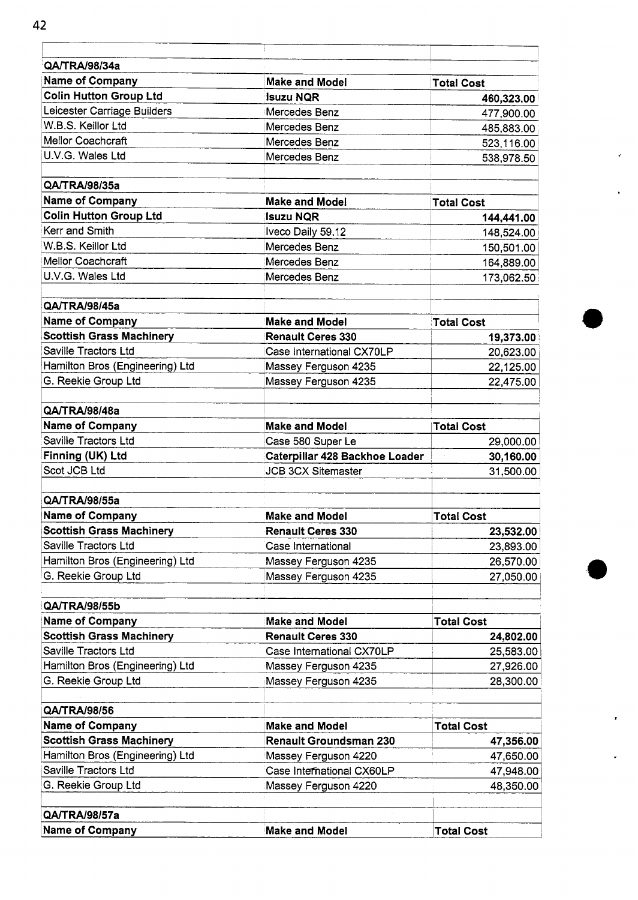| QA/TRA/98/34a                    |                                                             |                                   |  |
|----------------------------------|-------------------------------------------------------------|-----------------------------------|--|
| Name of Company                  | <b>Make and Model</b>                                       | <b>Total Cost</b>                 |  |
| <b>Colin Hutton Group Ltd</b>    | <b>Isuzu NQR</b>                                            | 460,323.00                        |  |
| Leicester Carriage Builders      | Mercedes Benz                                               | 477,900.00                        |  |
| W.B.S. Keillor Ltd               | Mercedes Benz                                               | 485,883.00                        |  |
| Mellor Coachcraft                | Mercedes Benz                                               | 523,116.00                        |  |
| U.V.G. Wales Ltd                 | Mercedes Benz                                               | 538,978.50                        |  |
| QA/TRA/98/35a                    |                                                             |                                   |  |
| <b>Name of Company</b>           | <b>Make and Model</b>                                       | <b>Total Cost</b>                 |  |
| <b>Colin Hutton Group Ltd</b>    | <b>Isuzu NQR</b>                                            | 144,441.00                        |  |
| Kerr and Smith                   | Iveco Daily 59.12                                           | 148,524.00                        |  |
| W.B.S. Keillor Ltd               | Mercedes Benz                                               | 150,501.00                        |  |
| Mellor Coachcraft                | Mercedes Benz                                               | 164,889.00                        |  |
| U.V.G. Wales Ltd                 | Mercedes Benz                                               | 173,062.50                        |  |
| QA/TRA/98/45a                    |                                                             |                                   |  |
| <b>Name of Company</b>           | <b>Make and Model</b>                                       | <b>Total Cost</b>                 |  |
| <b>Scottish Grass Machinery</b>  | <b>Renault Ceres 330</b>                                    | 19,373.00                         |  |
| Saville Tractors Ltd             | Case International CX70LP                                   | 20,623.00                         |  |
| Hamilton Bros (Engineering) Ltd  | Massey Ferguson 4235                                        | 22,125.00                         |  |
| G. Reekie Group Ltd              | Massey Ferguson 4235                                        | 22,475.00                         |  |
|                                  |                                                             |                                   |  |
| QA/TRA/98/48a<br>Name of Company | <b>Make and Model</b>                                       |                                   |  |
| Saville Tractors Ltd             |                                                             | <b>Total Cost</b>                 |  |
| Finning (UK) Ltd                 | Case 580 Super Le                                           | 29,000.00<br>$\ddot{\phantom{a}}$ |  |
| Scot JCB Ltd                     | Caterpillar 428 Backhoe Loader<br><b>JCB 3CX Sitemaster</b> | 30,160.00<br>31,500.00            |  |
|                                  |                                                             |                                   |  |
| QA/TRA/98/55a                    |                                                             |                                   |  |
| <b>Name of Company</b>           | <b>Make and Model</b>                                       | <b>Total Cost</b>                 |  |
| <b>Scottish Grass Machinery</b>  | <b>Renault Ceres 330</b>                                    | 23,532.00                         |  |
| Saville Tractors Ltd             | Case International                                          | 23,893.00                         |  |
| Hamilton Bros (Engineering) Ltd  | Massey Ferguson 4235                                        | 26,570.00                         |  |
| G. Reekie Group Ltd              | Massey Ferguson 4235                                        | 27,050.00                         |  |
| QA/TRA/98/55b                    |                                                             |                                   |  |
| <b>Name of Company</b>           | <b>Make and Model</b>                                       | <b>Total Cost</b>                 |  |
| <b>Scottish Grass Machinery</b>  | <b>Renault Ceres 330</b>                                    | 24,802.00                         |  |
| Saville Tractors Ltd             | Case International CX70LP                                   | 25,583.00                         |  |
| Hamilton Bros (Engineering) Ltd  | Massey Ferguson 4235                                        | 27,926.00                         |  |
| G. Reekie Group Ltd              | Massey Ferguson 4235                                        | 28,300.00                         |  |
| QA/TRA/98/56                     |                                                             |                                   |  |
| <b>Name of Company</b>           | <b>Make and Model</b>                                       | <b>Total Cost</b>                 |  |
| <b>Scottish Grass Machinery</b>  | <b>Renault Groundsman 230</b>                               | 47,356.00                         |  |
| Hamilton Bros (Engineering) Ltd  | Massey Ferguson 4220                                        | 47,650.00                         |  |
| Saville Tractors Ltd             | Case International CX60LP                                   | 47,948.00                         |  |
| G. Reekie Group Ltd              | Massey Ferguson 4220                                        | 48,350.00                         |  |
|                                  |                                                             |                                   |  |
| QA/TRA/98/57a                    |                                                             |                                   |  |
| Name of Company                  | <b>Make and Model</b>                                       | <b>Total Cost</b>                 |  |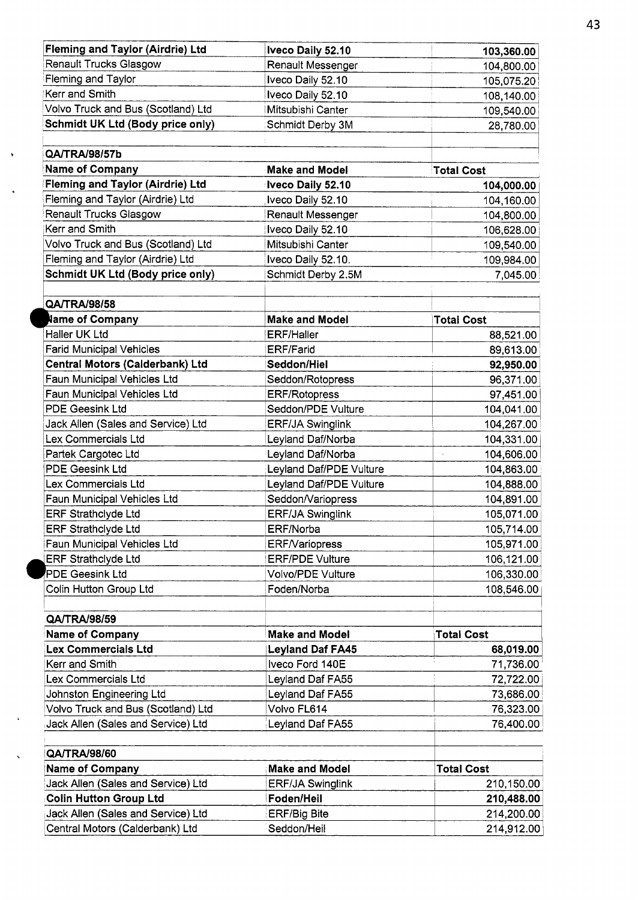| <b>Fleming and Taylor (Airdrie) Ltd</b> | Iveco Daily 52.10       | 103,360.00        |  |
|-----------------------------------------|-------------------------|-------------------|--|
| Renault Trucks Glasgow                  | Renault Messenger       | 104,800.00        |  |
| Fleming and Taylor                      | Iveco Daily 52.10       | 105,075.20        |  |
| Kerr and Smith                          | Iveco Daily 52.10       | 108,140.00        |  |
| Volvo Truck and Bus (Scotland) Ltd      | Mitsubishi Canter       | 109,540.00        |  |
| Schmidt UK Ltd (Body price only)        | Schmidt Derby 3M        | 28,780.00         |  |
| QA/TRA/98/57b                           |                         |                   |  |
| <b>Name of Company</b>                  | <b>Make and Model</b>   | <b>Total Cost</b> |  |
| <b>Fleming and Taylor (Airdrie) Ltd</b> | Iveco Daily 52.10       | 104,000.00        |  |
| Fleming and Taylor (Airdrie) Ltd        | Iveco Daily 52.10       | 104,160.00        |  |
| <b>Renault Trucks Glasgow</b>           | Renault Messenger       | 104,800.00        |  |
| Kerr and Smith                          | Iveco Daily 52.10       | 106,628.00        |  |
| Volvo Truck and Bus (Scotland) Ltd      | Mitsubishi Canter       | 109,540.00        |  |
| Fleming and Taylor (Airdrie) Ltd        | Iveco Daily 52.10.      | 109,984.00        |  |
| <b>Schmidt UK Ltd (Body price only)</b> | Schmidt Derby 2.5M      | 7,045.00          |  |
|                                         |                         |                   |  |
| QA/TRA/98/58<br>Name of Company         | <b>Make and Model</b>   | <b>Total Cost</b> |  |
| Haller UK Ltd                           | <b>ERF/Haller</b>       | 88,521.00         |  |
| <b>Farid Municipal Vehicles</b>         | <b>ERF/Farid</b>        | 89,613.00         |  |
| Central Motors (Calderbank) Ltd         | Seddon/Hiel             | 92,950.00         |  |
| Faun Municipal Vehicles Ltd             | Seddon/Rotopress        | 96,371.00         |  |
| Faun Municipal Vehicles Ltd             | <b>ERF/Rotopress</b>    | 97,451.00         |  |
| <b>PDE Geesink Ltd</b>                  | Seddon/PDE Vulture      | 104,041.00        |  |
| Jack Allen (Sales and Service) Ltd      | <b>ERF/JA Swinglink</b> | 104,267.00        |  |
| Lex Commercials Ltd                     | Leyland Daf/Norba       | 104,331.00        |  |
| Partek Cargotec Ltd                     | Leyland Daf/Norba       | 104,606.00<br>÷.  |  |
| <b>PDE Geesink Ltd</b>                  | Leyland Daf/PDE Vulture | 104,863.00        |  |
| Lex Commercials Ltd                     | Leyland Daf/PDE Vulture | 104,888.00        |  |
| Faun Municipal Vehicles Ltd             | Seddon/Variopress       | 104,891.00        |  |
| <b>ERF Strathclyde Ltd</b>              | <b>ERF/JA Swinglink</b> | 105,071.00        |  |
| <b>ERF Strathclyde Ltd</b>              | ERF/Norba               | 105,714.00        |  |
| Faun Municipal Vehicles Ltd             | <b>ERF/Variopress</b>   | 105,971.00        |  |
| <b>ERF Strathclyde Ltd</b>              | <b>ERF/PDE Vulture</b>  | 106,121.00        |  |
| <b>PDE Geesink Ltd</b>                  | Volvo/PDE Vulture       | 106,330.00        |  |
| Colin Hutton Group Ltd                  | Foden/Norba             | 108,546.00        |  |
| QA/TRA/98/59                            |                         |                   |  |
| Name of Company                         | <b>Make and Model</b>   | <b>Total Cost</b> |  |
| <b>Lex Commercials Ltd</b>              | <b>Leyland Daf FA45</b> | 68,019.00         |  |
| Kerr and Smith                          | Iveco Ford 140E         | 71,736.00         |  |
| Lex Commercials Ltd                     | Leyland Daf FA55        | 72,722.00         |  |
| Johnston Engineering Ltd                | Leyland Daf FA55        | 73,686.00         |  |
| Volvo Truck and Bus (Scotland) Ltd      | Volvo FL614             | 76,323.00         |  |
| Jack Allen (Sales and Service) Ltd      | Leyland Daf FA55        | 76,400.00         |  |
| QA/TRA/98/60                            |                         |                   |  |
| <b>Name of Company</b>                  | <b>Make and Model</b>   | <b>Total Cost</b> |  |
| Jack Allen (Sales and Service) Ltd      | <b>ERF/JA Swinglink</b> | 210,150.00        |  |
| <b>Colin Hutton Group Ltd</b>           | Foden/Heil              | 210,488.00        |  |
| Jack Allen (Sales and Service) Ltd      | <b>ERF/Big Bite</b>     | 214,200.00        |  |
| Central Motors (Calderbank) Ltd         | Seddon/Heil             | 214,912.00        |  |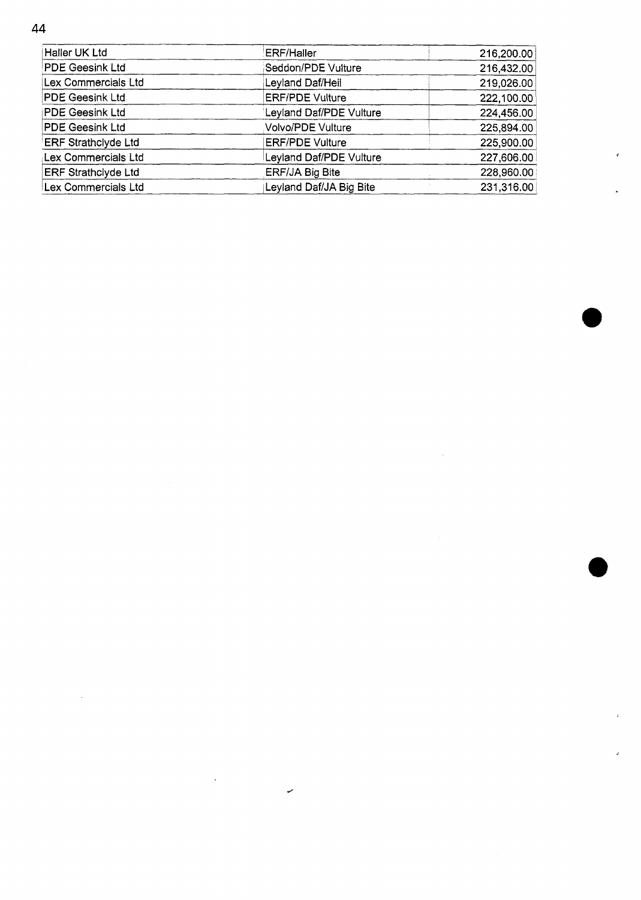Haller UK Ltd **ERF/Haller** 216,200.00 PDE Geesink Ltd Seddon/PDE Vulture 216,432.00 Lex Commercials Ltd Leyland Daf/Heil 219,026.00 PDE Geesink Ltd ERF/PDE Vulture 222,100.00 **PDE Geesink Ltd** Leyland Daf/PDE Vulture 224,456.00 PDE Geesink Ltd Volvo/PDE Vulture 225,894.00 ERF Strathclyde Ltd **ERF/PDE Vulture** 225,900.00 Lex Commercials Ltd Leyland Daf/PDE Vulture 227,606.00 ERF Strathclyde Ltd ERF/JA Big Bite 228,960.00 Leyland Daf/JA Big Bite Lex Commercials Ltd 231,316.00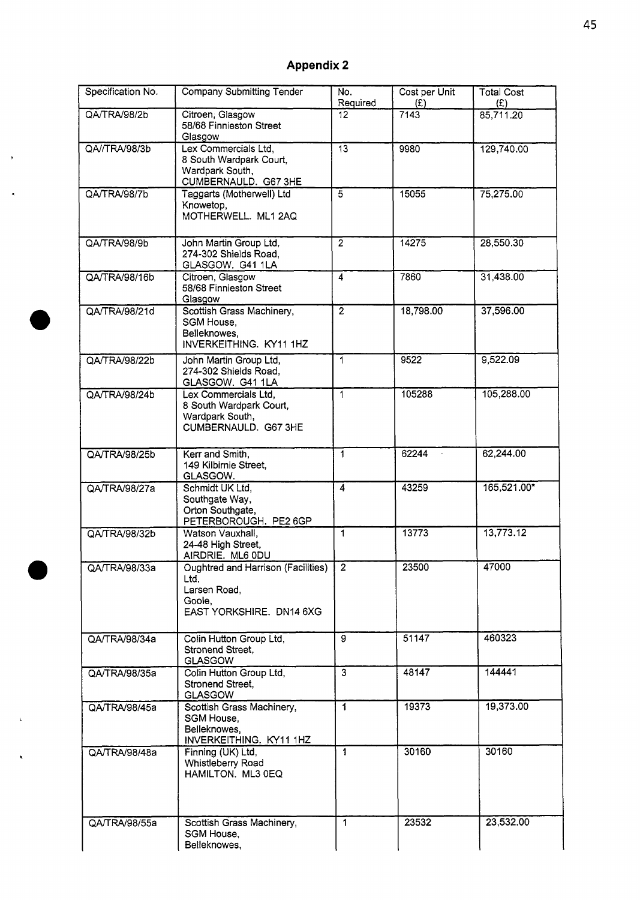## **Appendix 2**

 $\mathbf{r}$ 

.

| Specification No. | <b>Company Submitting Tender</b>                                                                        | No.<br>Required           | Cost per Unit<br>(E) | <b>Total Cost</b><br>(E) |
|-------------------|---------------------------------------------------------------------------------------------------------|---------------------------|----------------------|--------------------------|
| QA/TRA/98/2b      | Citroen, Glasgow<br>58/68 Finnieston Street<br>Glasgow                                                  | 12                        | 7143                 | 85,711.20                |
| QA//TRA/98/3b     | Lex Commercials Ltd,<br>8 South Wardpark Court,<br>Wardpark South,<br>CUMBERNAULD. G67 3HE              | $\overline{13}$           | 9980                 | 129,740.00               |
| QA/TRA/98/7b      | Taggarts (Motherwell) Ltd<br>Knowetop,<br>MOTHERWELL. ML1 2AQ                                           | $\overline{5}$            | 15055                | 75,275.00                |
| QA/TRA/98/9b      | John Martin Group Ltd,<br>274-302 Shields Road,<br>GLASGOW. G41 1LA                                     | $\overline{2}$            | 14275                | 28,550.30                |
| QA/TRA/98/16b     | Citroen, Glasgow<br>58/68 Finnieston Street<br>Glasgow                                                  | $\overline{\mathbf{4}}$   | 7860                 | 31,438.00                |
| QA/TRA/98/21d     | Scottish Grass Machinery,<br>SGM House,<br>Belleknowes,<br>INVERKEITHING. KY11 1HZ                      | $\overline{2}$            | 18,798.00            | 37,596.00                |
| QA/TRA/98/22b     | John Martin Group Ltd,<br>274-302 Shields Road,<br>GLASGOW. G41 1LA                                     | $\mathbf{1}$              | 9522                 | 9,522.09                 |
| QA/TRA/98/24b     | Lex Commercials Ltd,<br>8 South Wardpark Court,<br>Wardpark South,<br>CUMBERNAULD. G67 3HE              | $\mathbf{1}$              | 105288               | 105,288.00               |
| QA/TRA/98/25b     | Kerr and Smith,<br>149 Kilbirnie Street,<br>GLASGOW.                                                    | $\mathbf{1}$              | 62244                | 62,244.00                |
| QA/TRA/98/27a     | Schmidt UK Ltd,<br>Southgate Way,<br>Orton Southgate,<br>PETERBOROUGH. PE2 6GP                          | $\overline{4}$            | 43259                | 165,521.00*              |
| QA/TRA/98/32b     | Watson Vauxhall,<br>24-48 High Street,<br>AIRDRIE. ML6 ODU                                              | 1                         | 13773                | 13,773.12                |
| QA/TRA/98/33a     | <b>Oughtred and Harrison (Facilities)</b><br>Ltd.<br>Larsen Road,<br>Goole,<br>EAST YORKSHIRE. DN14 6XG | $\overline{2}$            | 23500                | 47000                    |
| QA/TRA/98/34a     | Colin Hutton Group Ltd,<br>Stronend Street,<br><b>GLASGOW</b>                                           | $\overline{9}$            | 51147                | 460323                   |
| QA/TRA/98/35a     | Colin Hutton Group Ltd,<br>Stronend Street,<br><b>GLASGOW</b>                                           | $\overline{\overline{3}}$ | 48147                | 144441                   |
| QA/TRA/98/45a     | Scottish Grass Machinery,<br>SGM House,<br>Belleknowes,<br>INVERKEITHING. KY11 1HZ                      | 1                         | 19373                | 19,373.00                |
| QA/TRA/98/48a     | Finning (UK) Ltd,<br>Whistleberry Road<br>HAMILTON. ML3 0EQ                                             | 1                         | 30160                | 30160                    |
| QA/TRA/98/55a     | Scottish Grass Machinery,<br>SGM House,<br>Belleknowes,                                                 | 1                         | 23532                | 23,532.00                |